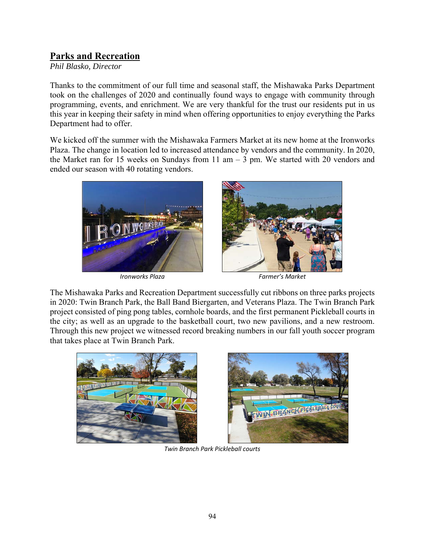# **Parks and Recreation**

*Phil Blasko, Director* 

Thanks to the commitment of our full time and seasonal staff, the Mishawaka Parks Department took on the challenges of 2020 and continually found ways to engage with community through programming, events, and enrichment. We are very thankful for the trust our residents put in us this year in keeping their safety in mind when offering opportunities to enjoy everything the Parks Department had to offer.

We kicked off the summer with the Mishawaka Farmers Market at its new home at the Ironworks Plaza. The change in location led to increased attendance by vendors and the community. In 2020, the Market ran for 15 weeks on Sundays from 11 am – 3 pm. We started with 20 vendors and ended our season with 40 rotating vendors.





*Ironworks Plaza Farmer's Market* 

The Mishawaka Parks and Recreation Department successfully cut ribbons on three parks projects in 2020: Twin Branch Park, the Ball Band Biergarten, and Veterans Plaza. The Twin Branch Park project consisted of ping pong tables, cornhole boards, and the first permanent Pickleball courts in the city; as well as an upgrade to the basketball court, two new pavilions, and a new restroom. Through this new project we witnessed record breaking numbers in our fall youth soccer program that takes place at Twin Branch Park.





*Twin Branch Park Pickleball courts*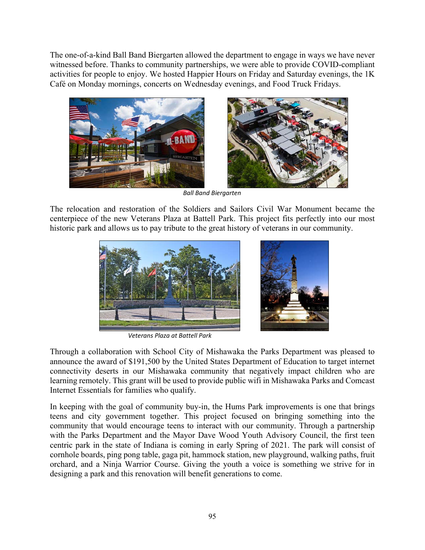The one-of-a-kind Ball Band Biergarten allowed the department to engage in ways we have never witnessed before. Thanks to community partnerships, we were able to provide COVID-compliant activities for people to enjoy. We hosted Happier Hours on Friday and Saturday evenings, the 1K Café on Monday mornings, concerts on Wednesday evenings, and Food Truck Fridays.



*Ball Band Biergarten* 

The relocation and restoration of the Soldiers and Sailors Civil War Monument became the centerpiece of the new Veterans Plaza at Battell Park. This project fits perfectly into our most historic park and allows us to pay tribute to the great history of veterans in our community.



*Veterans Plaza at Battell Park* 

Through a collaboration with School City of Mishawaka the Parks Department was pleased to announce the award of \$191,500 by the United States Department of Education to target internet connectivity deserts in our Mishawaka community that negatively impact children who are learning remotely. This grant will be used to provide public wifi in Mishawaka Parks and Comcast Internet Essentials for families who qualify.

In keeping with the goal of community buy-in, the Hums Park improvements is one that brings teens and city government together. This project focused on bringing something into the community that would encourage teens to interact with our community. Through a partnership with the Parks Department and the Mayor Dave Wood Youth Advisory Council, the first teen centric park in the state of Indiana is coming in early Spring of 2021. The park will consist of cornhole boards, ping pong table, gaga pit, hammock station, new playground, walking paths, fruit orchard, and a Ninja Warrior Course. Giving the youth a voice is something we strive for in designing a park and this renovation will benefit generations to come.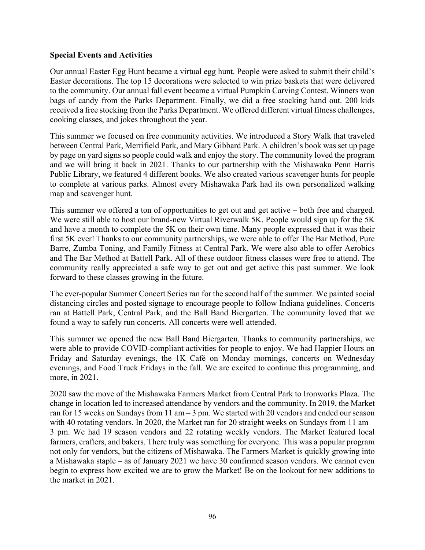### **Special Events and Activities**

Our annual Easter Egg Hunt became a virtual egg hunt. People were asked to submit their child's Easter decorations. The top 15 decorations were selected to win prize baskets that were delivered to the community. Our annual fall event became a virtual Pumpkin Carving Contest. Winners won bags of candy from the Parks Department. Finally, we did a free stocking hand out. 200 kids received a free stocking from the Parks Department. We offered different virtual fitness challenges, cooking classes, and jokes throughout the year.

This summer we focused on free community activities. We introduced a Story Walk that traveled between Central Park, Merrifield Park, and Mary Gibbard Park. A children's book was set up page by page on yard signs so people could walk and enjoy the story. The community loved the program and we will bring it back in 2021. Thanks to our partnership with the Mishawaka Penn Harris Public Library, we featured 4 different books. We also created various scavenger hunts for people to complete at various parks. Almost every Mishawaka Park had its own personalized walking map and scavenger hunt.

This summer we offered a ton of opportunities to get out and get active – both free and charged. We were still able to host our brand-new Virtual Riverwalk 5K. People would sign up for the 5K and have a month to complete the 5K on their own time. Many people expressed that it was their first 5K ever! Thanks to our community partnerships, we were able to offer The Bar Method, Pure Barre, Zumba Toning, and Family Fitness at Central Park. We were also able to offer Aerobics and The Bar Method at Battell Park. All of these outdoor fitness classes were free to attend. The community really appreciated a safe way to get out and get active this past summer. We look forward to these classes growing in the future.

The ever-popular Summer Concert Series ran for the second half of the summer. We painted social distancing circles and posted signage to encourage people to follow Indiana guidelines. Concerts ran at Battell Park, Central Park, and the Ball Band Biergarten. The community loved that we found a way to safely run concerts. All concerts were well attended.

This summer we opened the new Ball Band Biergarten. Thanks to community partnerships, we were able to provide COVID-compliant activities for people to enjoy. We had Happier Hours on Friday and Saturday evenings, the 1K Café on Monday mornings, concerts on Wednesday evenings, and Food Truck Fridays in the fall. We are excited to continue this programming, and more, in 2021.

2020 saw the move of the Mishawaka Farmers Market from Central Park to Ironworks Plaza. The change in location led to increased attendance by vendors and the community. In 2019, the Market ran for 15 weeks on Sundays from 11 am  $-3$  pm. We started with 20 vendors and ended our season with 40 rotating vendors. In 2020, the Market ran for 20 straight weeks on Sundays from 11 am – 3 pm. We had 19 season vendors and 22 rotating weekly vendors. The Market featured local farmers, crafters, and bakers. There truly was something for everyone. This was a popular program not only for vendors, but the citizens of Mishawaka. The Farmers Market is quickly growing into a Mishawaka staple – as of January 2021 we have 30 confirmed season vendors. We cannot even begin to express how excited we are to grow the Market! Be on the lookout for new additions to the market in 2021.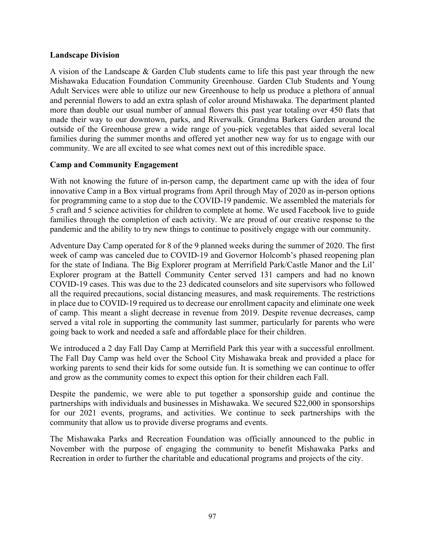#### **Landscape Division**

A vision of the Landscape & Garden Club students came to life this past year through the new Mishawaka Education Foundation Community Greenhouse. Garden Club Students and Young Adult Services were able to utilize our new Greenhouse to help us produce a plethora of annual and perennial flowers to add an extra splash of color around Mishawaka. The department planted more than double our usual number of annual flowers this past year totaling over 450 flats that made their way to our downtown, parks, and Riverwalk. Grandma Barkers Garden around the outside of the Greenhouse grew a wide range of you-pick vegetables that aided several local families during the summer months and offered yet another new way for us to engage with our community. We are all excited to see what comes next out of this incredible space.

#### **Camp and Community Engagement**

With not knowing the future of in-person camp, the department came up with the idea of four innovative Camp in a Box virtual programs from April through May of 2020 as in-person options for programming came to a stop due to the COVID-19 pandemic. We assembled the materials for 5 craft and 5 science activities for children to complete at home. We used Facebook live to guide families through the completion of each activity. We are proud of our creative response to the pandemic and the ability to try new things to continue to positively engage with our community.

Adventure Day Camp operated for 8 of the 9 planned weeks during the summer of 2020. The first week of camp was canceled due to COVID-19 and Governor Holcomb's phased reopening plan for the state of Indiana. The Big Explorer program at Merrifield Park/Castle Manor and the Lil' Explorer program at the Battell Community Center served 131 campers and had no known COVID-19 cases. This was due to the 23 dedicated counselors and site supervisors who followed all the required precautions, social distancing measures, and mask requirements. The restrictions in place due to COVID-19 required us to decrease our enrollment capacity and eliminate one week of camp. This meant a slight decrease in revenue from 2019. Despite revenue decreases, camp served a vital role in supporting the community last summer, particularly for parents who were going back to work and needed a safe and affordable place for their children.

We introduced a 2 day Fall Day Camp at Merrifield Park this year with a successful enrollment. The Fall Day Camp was held over the School City Mishawaka break and provided a place for working parents to send their kids for some outside fun. It is something we can continue to offer and grow as the community comes to expect this option for their children each Fall.

Despite the pandemic, we were able to put together a sponsorship guide and continue the partnerships with individuals and businesses in Mishawaka. We secured \$22,000 in sponsorships for our 2021 events, programs, and activities. We continue to seek partnerships with the community that allow us to provide diverse programs and events.

The Mishawaka Parks and Recreation Foundation was officially announced to the public in November with the purpose of engaging the community to benefit Mishawaka Parks and Recreation in order to further the charitable and educational programs and projects of the city.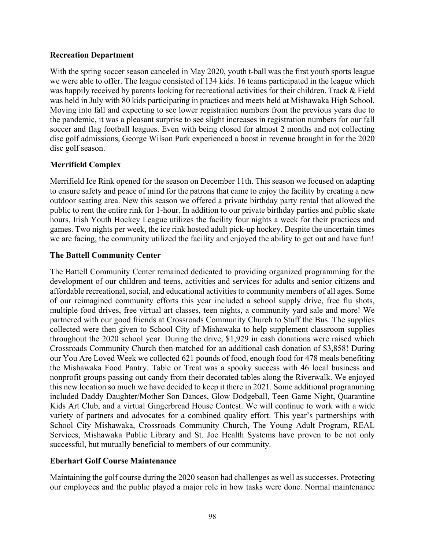### **Recreation Department**

With the spring soccer season canceled in May 2020, youth t-ball was the first youth sports league we were able to offer. The league consisted of 134 kids. 16 teams participated in the league which was happily received by parents looking for recreational activities for their children. Track & Field was held in July with 80 kids participating in practices and meets held at Mishawaka High School. Moving into fall and expecting to see lower registration numbers from the previous years due to the pandemic, it was a pleasant surprise to see slight increases in registration numbers for our fall soccer and flag football leagues. Even with being closed for almost 2 months and not collecting disc golf admissions, George Wilson Park experienced a boost in revenue brought in for the 2020 disc golf season.

## **Merrifield Complex**

Merrifield Ice Rink opened for the season on December 11th. This season we focused on adapting to ensure safety and peace of mind for the patrons that came to enjoy the facility by creating a new outdoor seating area. New this season we offered a private birthday party rental that allowed the public to rent the entire rink for 1-hour. In addition to our private birthday parties and public skate hours, Irish Youth Hockey League utilizes the facility four nights a week for their practices and games. Two nights per week, the ice rink hosted adult pick-up hockey. Despite the uncertain times we are facing, the community utilized the facility and enjoyed the ability to get out and have fun!

## **The Battell Community Center**

The Battell Community Center remained dedicated to providing organized programming for the development of our children and teens, activities and services for adults and senior citizens and affordable recreational, social, and educational activities to community members of all ages. Some of our reimagined community efforts this year included a school supply drive, free flu shots, multiple food drives, free virtual art classes, teen nights, a community yard sale and more! We partnered with our good friends at Crossroads Community Church to Stuff the Bus. The supplies collected were then given to School City of Mishawaka to help supplement classroom supplies throughout the 2020 school year. During the drive, \$1,929 in cash donations were raised which Crossroads Community Church then matched for an additional cash donation of \$3,858! During our You Are Loved Week we collected 621 pounds of food, enough food for 478 meals benefiting the Mishawaka Food Pantry. Table or Treat was a spooky success with 46 local business and nonprofit groups passing out candy from their decorated tables along the Riverwalk. We enjoyed this new location so much we have decided to keep it there in 2021. Some additional programming included Daddy Daughter/Mother Son Dances, Glow Dodgeball, Teen Game Night, Quarantine Kids Art Club, and a virtual Gingerbread House Contest. We will continue to work with a wide variety of partners and advocates for a combined quality effort. This year's partnerships with School City Mishawaka, Crossroads Community Church, The Young Adult Program, REAL Services, Mishawaka Public Library and St. Joe Health Systems have proven to be not only successful, but mutually beneficial to members of our community.

## **Eberhart Golf Course Maintenance**

Maintaining the golf course during the 2020 season had challenges as well as successes. Protecting our employees and the public played a major role in how tasks were done. Normal maintenance